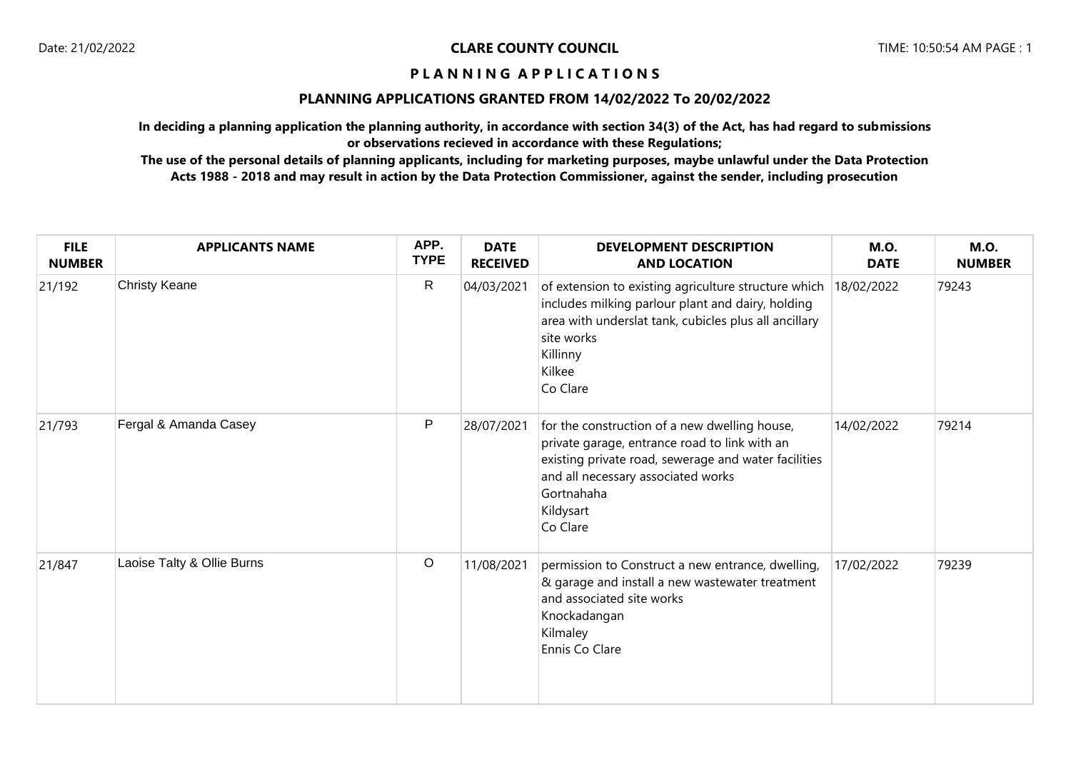### **PLANNING APPLICATIONS GRANTED FROM 14/02/2022 To 20/02/2022**

**In deciding a planning application the planning authority, in accordance with section 34(3) of the Act, has had regard to submissions or observations recieved in accordance with these Regulations;**

| <b>FILE</b><br><b>NUMBER</b> | <b>APPLICANTS NAME</b>     | APP.<br><b>TYPE</b> | <b>DATE</b><br><b>RECEIVED</b> | <b>DEVELOPMENT DESCRIPTION</b><br><b>AND LOCATION</b>                                                                                                                                                                               | <b>M.O.</b><br><b>DATE</b> | <b>M.O.</b><br><b>NUMBER</b> |
|------------------------------|----------------------------|---------------------|--------------------------------|-------------------------------------------------------------------------------------------------------------------------------------------------------------------------------------------------------------------------------------|----------------------------|------------------------------|
| 21/192                       | Christy Keane              | ${\sf R}$           | 04/03/2021                     | of extension to existing agriculture structure which<br>includes milking parlour plant and dairy, holding<br>area with underslat tank, cubicles plus all ancillary<br>site works<br>Killinny<br>Kilkee<br>Co Clare                  | 18/02/2022                 | 79243                        |
| 21/793                       | Fergal & Amanda Casey      | P                   | 28/07/2021                     | for the construction of a new dwelling house,<br>private garage, entrance road to link with an<br>existing private road, sewerage and water facilities<br>and all necessary associated works<br>Gortnahaha<br>Kildysart<br>Co Clare | 14/02/2022                 | 79214                        |
| 21/847                       | Laoise Talty & Ollie Burns | $\mathsf O$         | 11/08/2021                     | permission to Construct a new entrance, dwelling,<br>& garage and install a new wastewater treatment<br>and associated site works<br>Knockadangan<br>Kilmaley<br>Ennis Co Clare                                                     | 17/02/2022                 | 79239                        |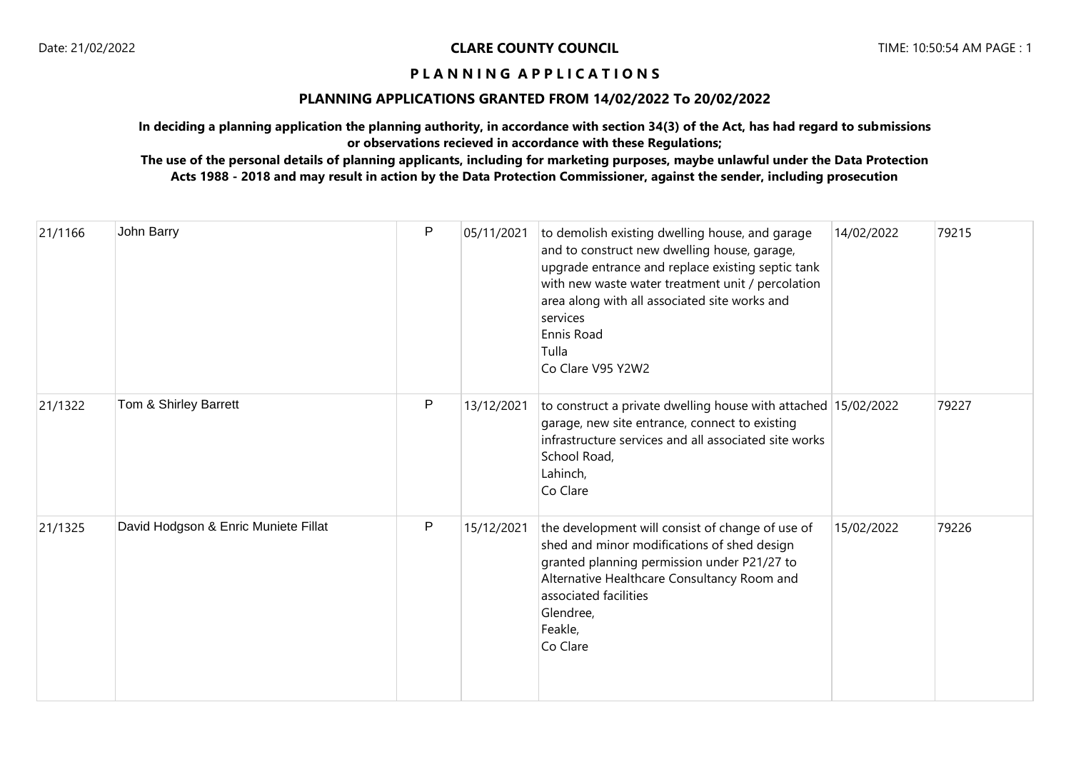### **PLANNING APPLICATIONS GRANTED FROM 14/02/2022 To 20/02/2022**

**In deciding a planning application the planning authority, in accordance with section 34(3) of the Act, has had regard to submissions or observations recieved in accordance with these Regulations;**

| 21/1166 | John Barry                           | $\mathsf{P}$ | 05/11/2021 | to demolish existing dwelling house, and garage<br>and to construct new dwelling house, garage,<br>upgrade entrance and replace existing septic tank<br>with new waste water treatment unit / percolation<br>area along with all associated site works and<br>services<br>Ennis Road<br>Tulla<br>Co Clare V95 Y2W2 | 14/02/2022 | 79215 |
|---------|--------------------------------------|--------------|------------|--------------------------------------------------------------------------------------------------------------------------------------------------------------------------------------------------------------------------------------------------------------------------------------------------------------------|------------|-------|
| 21/1322 | Tom & Shirley Barrett                | P            | 13/12/2021 | to construct a private dwelling house with attached 15/02/2022<br>garage, new site entrance, connect to existing<br>infrastructure services and all associated site works<br>School Road,<br>Lahinch,<br>Co Clare                                                                                                  |            | 79227 |
| 21/1325 | David Hodgson & Enric Muniete Fillat | P            | 15/12/2021 | the development will consist of change of use of<br>shed and minor modifications of shed design<br>granted planning permission under P21/27 to<br>Alternative Healthcare Consultancy Room and<br>associated facilities<br>Glendree,<br>Feakle,<br>Co Clare                                                         | 15/02/2022 | 79226 |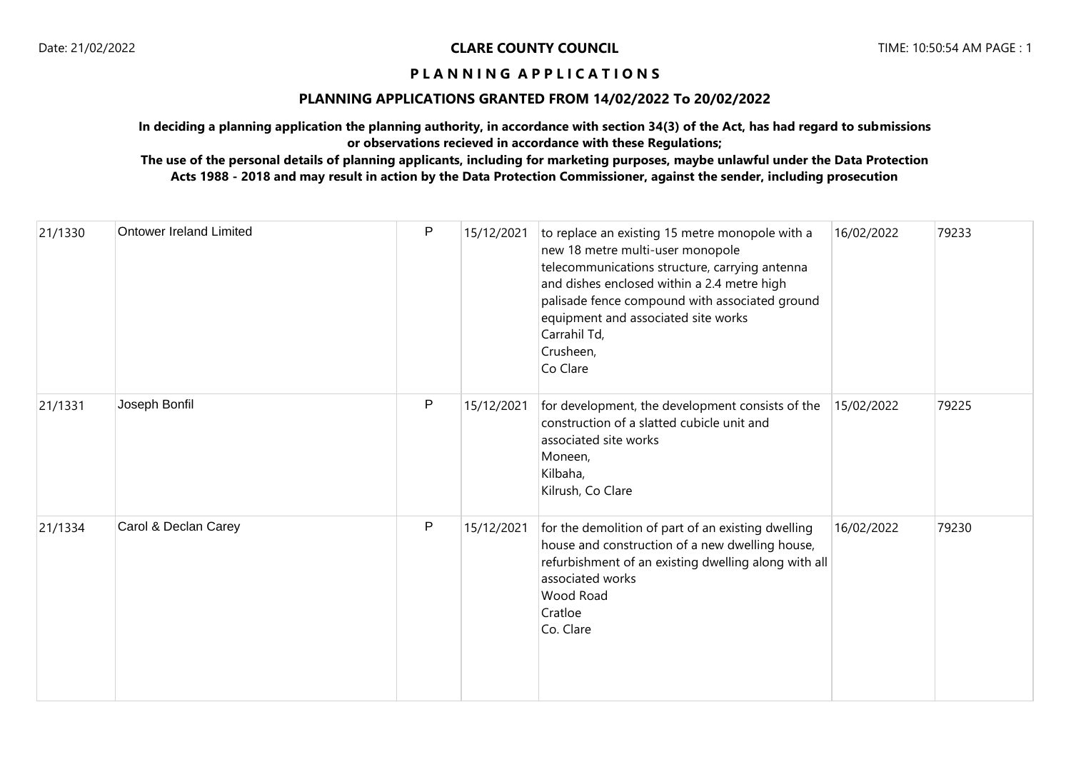### **PLANNING APPLICATIONS GRANTED FROM 14/02/2022 To 20/02/2022**

**In deciding a planning application the planning authority, in accordance with section 34(3) of the Act, has had regard to submissions or observations recieved in accordance with these Regulations;**

| 21/1330 | <b>Ontower Ireland Limited</b> | P | 15/12/2021 | to replace an existing 15 metre monopole with a<br>new 18 metre multi-user monopole<br>telecommunications structure, carrying antenna<br>and dishes enclosed within a 2.4 metre high<br>palisade fence compound with associated ground<br>equipment and associated site works<br>Carrahil Td,<br>Crusheen,<br>Co Clare | 16/02/2022 | 79233 |
|---------|--------------------------------|---|------------|------------------------------------------------------------------------------------------------------------------------------------------------------------------------------------------------------------------------------------------------------------------------------------------------------------------------|------------|-------|
| 21/1331 | Joseph Bonfil                  | P | 15/12/2021 | for development, the development consists of the<br>construction of a slatted cubicle unit and<br>associated site works<br>Moneen,<br>Kilbaha,<br>Kilrush, Co Clare                                                                                                                                                    | 15/02/2022 | 79225 |
| 21/1334 | Carol & Declan Carey           | P | 15/12/2021 | for the demolition of part of an existing dwelling<br>house and construction of a new dwelling house,<br>refurbishment of an existing dwelling along with all<br>associated works<br>Wood Road<br>Cratloe<br>Co. Clare                                                                                                 | 16/02/2022 | 79230 |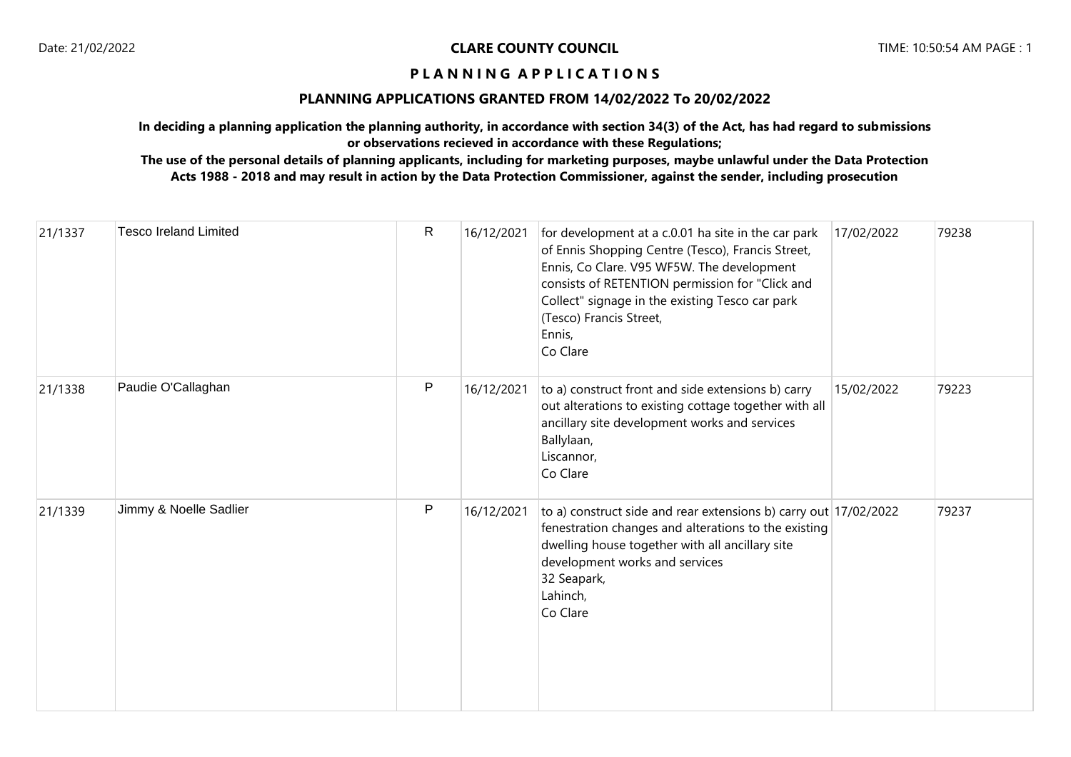### **PLANNING APPLICATIONS GRANTED FROM 14/02/2022 To 20/02/2022**

**In deciding a planning application the planning authority, in accordance with section 34(3) of the Act, has had regard to submissions or observations recieved in accordance with these Regulations;**

| 21/1337 | <b>Tesco Ireland Limited</b> | $\mathsf{R}$ | 16/12/2021 | for development at a c.0.01 ha site in the car park<br>of Ennis Shopping Centre (Tesco), Francis Street,<br>Ennis, Co Clare. V95 WF5W. The development<br>consists of RETENTION permission for "Click and<br>Collect" signage in the existing Tesco car park<br>(Tesco) Francis Street,<br>Ennis,<br>Co Clare | 17/02/2022 | 79238 |
|---------|------------------------------|--------------|------------|---------------------------------------------------------------------------------------------------------------------------------------------------------------------------------------------------------------------------------------------------------------------------------------------------------------|------------|-------|
| 21/1338 | Paudie O'Callaghan           | P            | 16/12/2021 | to a) construct front and side extensions b) carry<br>out alterations to existing cottage together with all<br>ancillary site development works and services<br>Ballylaan,<br>Liscannor,<br>Co Clare                                                                                                          | 15/02/2022 | 79223 |
| 21/1339 | Jimmy & Noelle Sadlier       | $\mathsf{P}$ | 16/12/2021 | to a) construct side and rear extensions b) carry out 17/02/2022<br>fenestration changes and alterations to the existing<br>dwelling house together with all ancillary site<br>development works and services<br>32 Seapark,<br>Lahinch,<br>Co Clare                                                          |            | 79237 |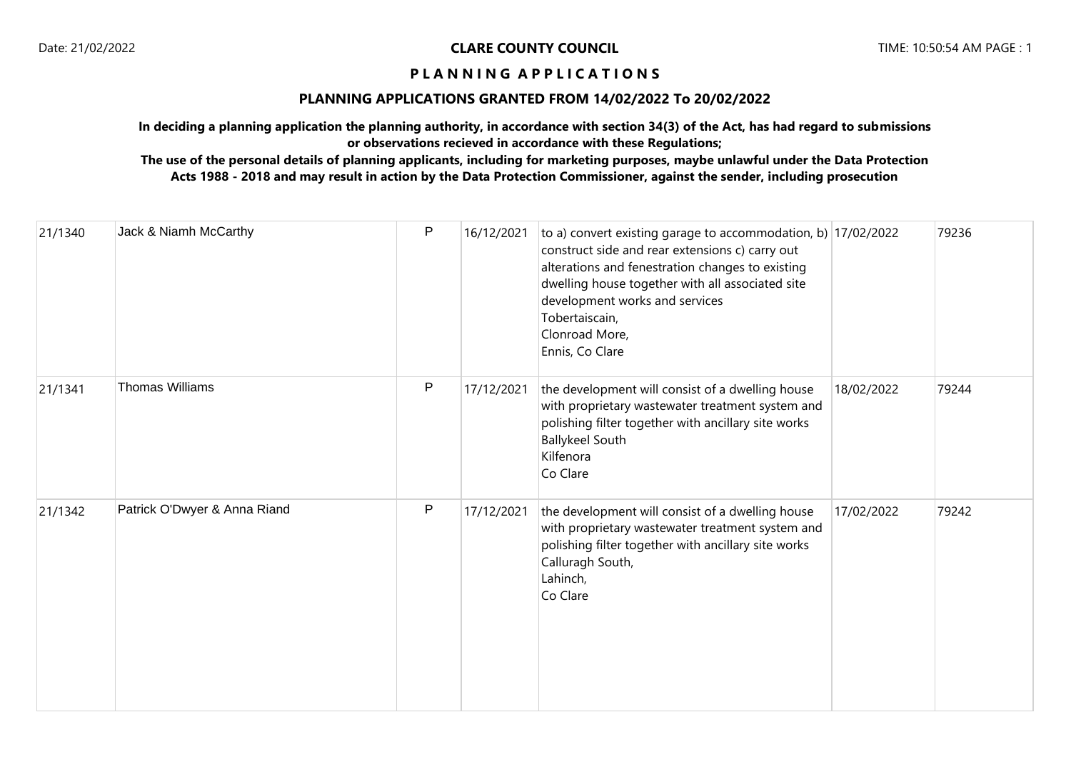### **PLANNING APPLICATIONS GRANTED FROM 14/02/2022 To 20/02/2022**

**In deciding a planning application the planning authority, in accordance with section 34(3) of the Act, has had regard to submissions or observations recieved in accordance with these Regulations;**

| 21/1340 | Jack & Niamh McCarthy        | $\mathsf{P}$ | 16/12/2021 | to a) convert existing garage to accommodation, b) 17/02/2022<br>construct side and rear extensions c) carry out<br>alterations and fenestration changes to existing<br>dwelling house together with all associated site<br>development works and services<br>Tobertaiscain,<br>Clonroad More,<br>Ennis, Co Clare |            | 79236 |
|---------|------------------------------|--------------|------------|-------------------------------------------------------------------------------------------------------------------------------------------------------------------------------------------------------------------------------------------------------------------------------------------------------------------|------------|-------|
| 21/1341 | <b>Thomas Williams</b>       | $\mathsf{P}$ | 17/12/2021 | the development will consist of a dwelling house<br>with proprietary wastewater treatment system and<br>polishing filter together with ancillary site works<br><b>Ballykeel South</b><br>Kilfenora<br>Co Clare                                                                                                    | 18/02/2022 | 79244 |
| 21/1342 | Patrick O'Dwyer & Anna Riand | ${\sf P}$    | 17/12/2021 | the development will consist of a dwelling house<br>with proprietary wastewater treatment system and<br>polishing filter together with ancillary site works<br>Calluragh South,<br>Lahinch,<br>Co Clare                                                                                                           | 17/02/2022 | 79242 |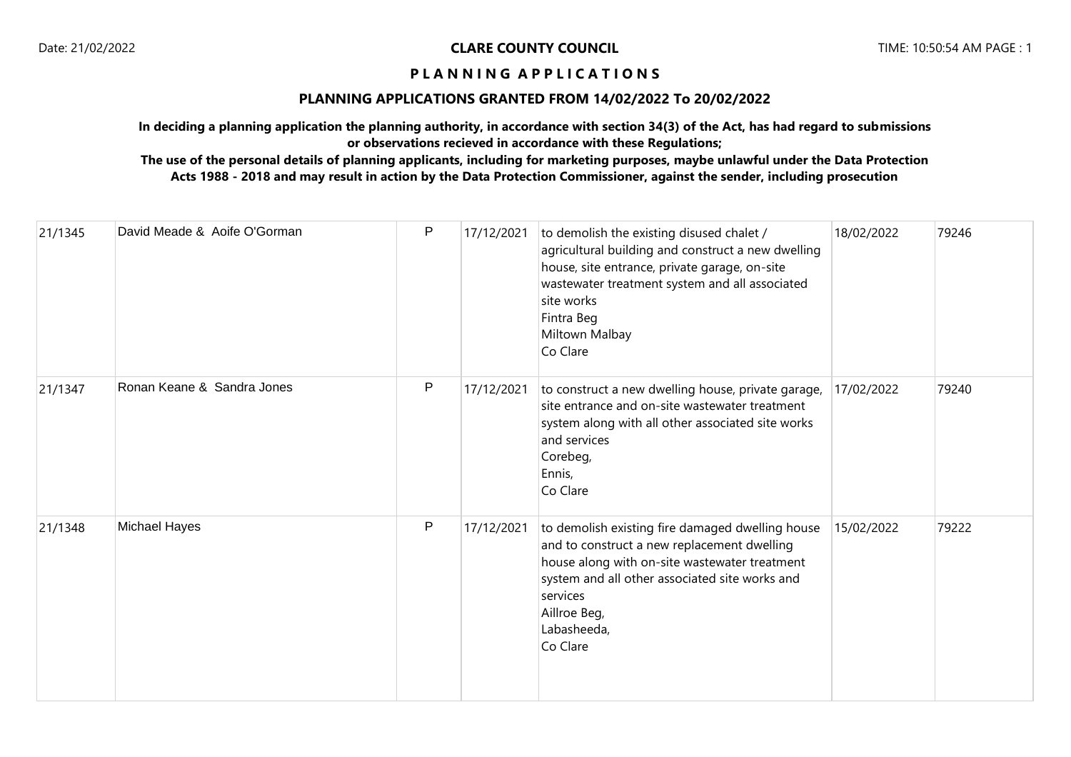### **PLANNING APPLICATIONS GRANTED FROM 14/02/2022 To 20/02/2022**

**In deciding a planning application the planning authority, in accordance with section 34(3) of the Act, has had regard to submissions or observations recieved in accordance with these Regulations;**

| 21/1345 | David Meade & Aoife O'Gorman | P         | 17/12/2021 | to demolish the existing disused chalet /<br>agricultural building and construct a new dwelling<br>house, site entrance, private garage, on-site<br>wastewater treatment system and all associated<br>site works<br>Fintra Beg<br>Miltown Malbay<br>Co Clare | 18/02/2022 | 79246 |
|---------|------------------------------|-----------|------------|--------------------------------------------------------------------------------------------------------------------------------------------------------------------------------------------------------------------------------------------------------------|------------|-------|
| 21/1347 | Ronan Keane & Sandra Jones   | ${\sf P}$ | 17/12/2021 | to construct a new dwelling house, private garage,<br>site entrance and on-site wastewater treatment<br>system along with all other associated site works<br>and services<br>Corebeg,<br>Ennis,<br>Co Clare                                                  | 17/02/2022 | 79240 |
| 21/1348 | Michael Hayes                | P         | 17/12/2021 | to demolish existing fire damaged dwelling house<br>and to construct a new replacement dwelling<br>house along with on-site wastewater treatment<br>system and all other associated site works and<br>services<br>Aillroe Beg,<br>Labasheeda,<br>Co Clare    | 15/02/2022 | 79222 |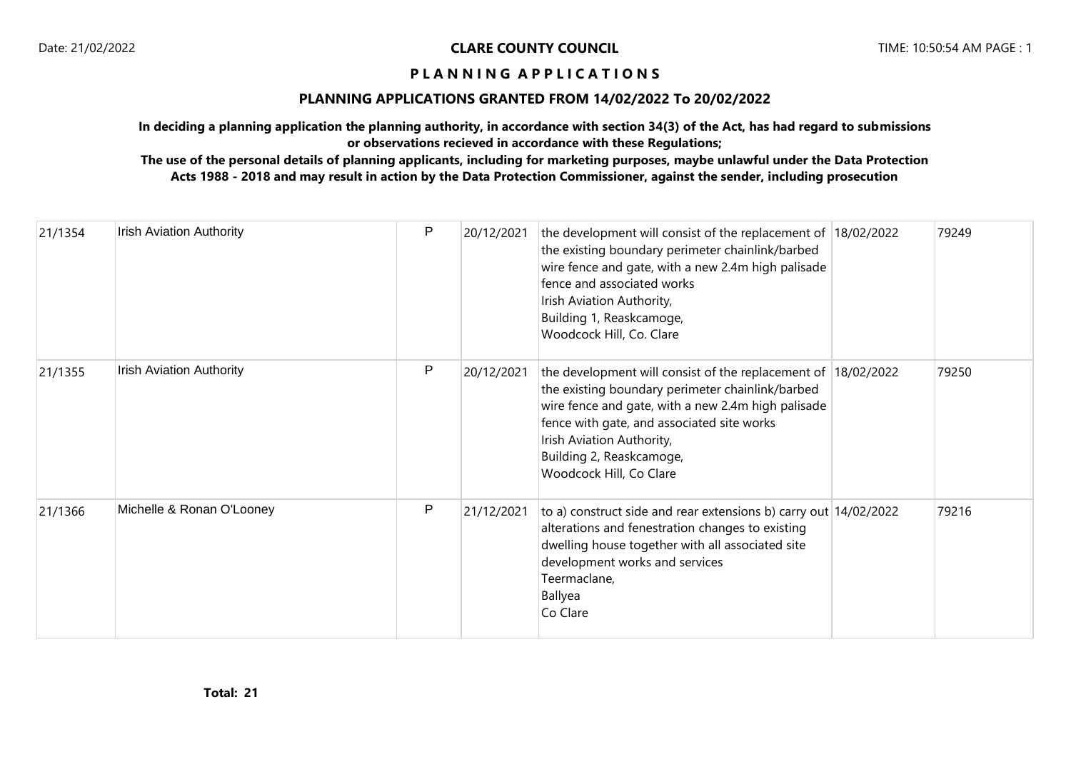### **PLANNING APPLICATIONS GRANTED FROM 14/02/2022 To 20/02/2022**

**In deciding a planning application the planning authority, in accordance with section 34(3) of the Act, has had regard to submissions or observations recieved in accordance with these Regulations;**

| 21/1354 | <b>Irish Aviation Authority</b> | P | 20/12/2021 | the development will consist of the replacement of 18/02/2022<br>the existing boundary perimeter chainlink/barbed<br>wire fence and gate, with a new 2.4m high palisade<br>fence and associated works<br>Irish Aviation Authority,<br>Building 1, Reaskcamoge,<br>Woodcock Hill, Co. Clare                | 79249 |
|---------|---------------------------------|---|------------|-----------------------------------------------------------------------------------------------------------------------------------------------------------------------------------------------------------------------------------------------------------------------------------------------------------|-------|
| 21/1355 | <b>Irish Aviation Authority</b> | P | 20/12/2021 | the development will consist of the replacement of 18/02/2022<br>the existing boundary perimeter chainlink/barbed<br>wire fence and gate, with a new 2.4m high palisade<br>fence with gate, and associated site works<br>Irish Aviation Authority,<br>Building 2, Reaskcamoge,<br>Woodcock Hill, Co Clare | 79250 |
| 21/1366 | Michelle & Ronan O'Looney       | P | 21/12/2021 | to a) construct side and rear extensions b) carry out 14/02/2022<br>alterations and fenestration changes to existing<br>dwelling house together with all associated site<br>development works and services<br>Teermaclane,<br>Ballyea<br>Co Clare                                                         | 79216 |